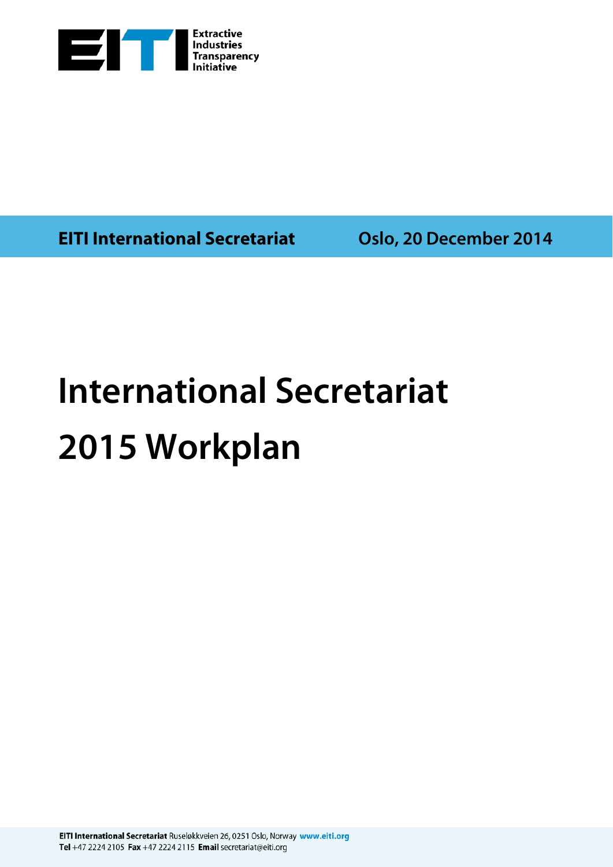

**EITI International Secretariat Oslo, 20 December 2014**

## **International Secretariat 2015 Workplan**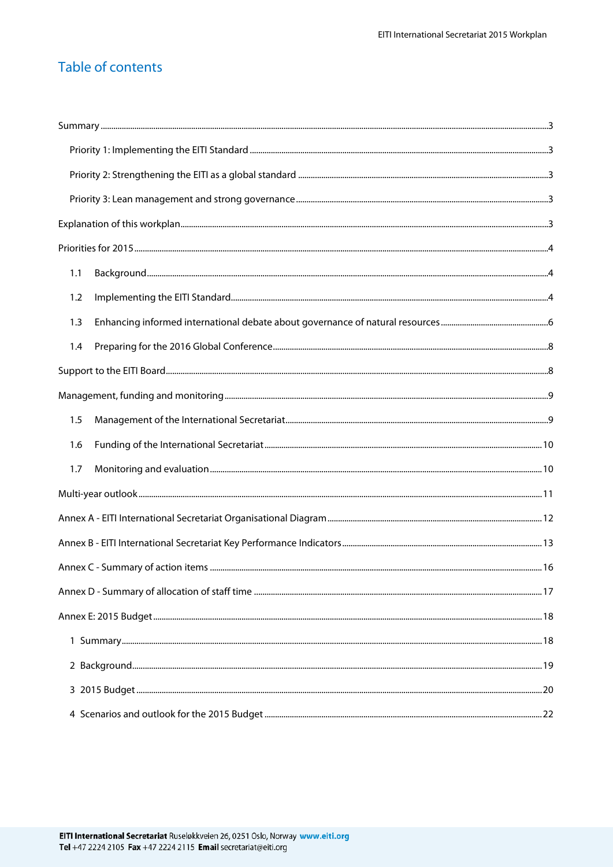## Table of contents

| 1.1 |  |
|-----|--|
| 1.2 |  |
| 1.3 |  |
| 1.4 |  |
|     |  |
|     |  |
| 1.5 |  |
| 1.6 |  |
| 1.7 |  |
|     |  |
|     |  |
|     |  |
|     |  |
|     |  |
|     |  |
|     |  |
|     |  |
|     |  |
|     |  |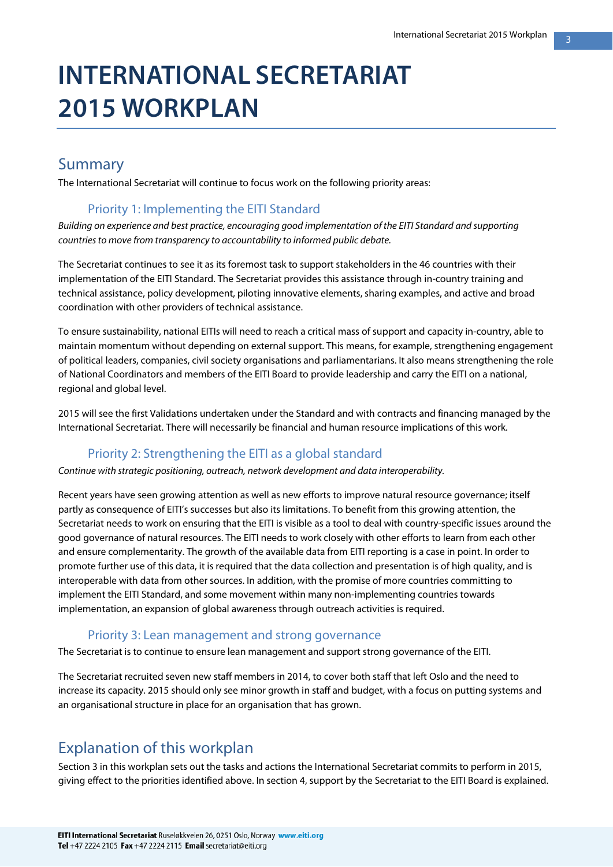## **INTERNATIONAL SECRETARIAT 2015 WORKPLAN**

### Summary

The International Secretariat will continue to focus work on the following priority areas:

#### Priority 1: Implementing the EITI Standard

*Building on experience and best practice, encouraging good implementation of the EITI Standard and supporting countries to move from transparency to accountability to informed public debate.* 

The Secretariat continues to see it as its foremost task to support stakeholders in the 46 countries with their implementation of the EITI Standard. The Secretariat provides this assistance through in-country training and technical assistance, policy development, piloting innovative elements, sharing examples, and active and broad coordination with other providers of technical assistance.

To ensure sustainability, national EITIs will need to reach a critical mass of support and capacity in-country, able to maintain momentum without depending on external support. This means, for example, strengthening engagement of political leaders, companies, civil society organisations and parliamentarians. It also means strengthening the role of National Coordinators and members of the EITI Board to provide leadership and carry the EITI on a national, regional and global level.

2015 will see the first Validations undertaken under the Standard and with contracts and financing managed by the International Secretariat. There will necessarily be financial and human resource implications of this work.

#### Priority 2: Strengthening the EITI as a global standard

*Continue with strategic positioning, outreach, network development and data interoperability.*

Recent years have seen growing attention as well as new efforts to improve natural resource governance; itself partly as consequence of EITI's successes but also its limitations. To benefit from this growing attention, the Secretariat needs to work on ensuring that the EITI is visible as a tool to deal with country-specific issues around the good governance of natural resources. The EITI needs to work closely with other efforts to learn from each other and ensure complementarity. The growth of the available data from EITI reporting is a case in point. In order to promote further use of this data, it is required that the data collection and presentation is of high quality, and is interoperable with data from other sources. In addition, with the promise of more countries committing to implement the EITI Standard, and some movement within many non-implementing countries towards implementation, an expansion of global awareness through outreach activities is required.

#### Priority 3: Lean management and strong governance

The Secretariat is to continue to ensure lean management and support strong governance of the EITI.

The Secretariat recruited seven new staff members in 2014, to cover both staff that left Oslo and the need to increase its capacity. 2015 should only see minor growth in staff and budget, with a focus on putting systems and an organisational structure in place for an organisation that has grown.

## Explanation of this workplan

Section 3 in this workplan sets out the tasks and actions the International Secretariat commits to perform in 2015, giving effect to the priorities identified above. In section 4, support by the Secretariat to the EITI Board is explained.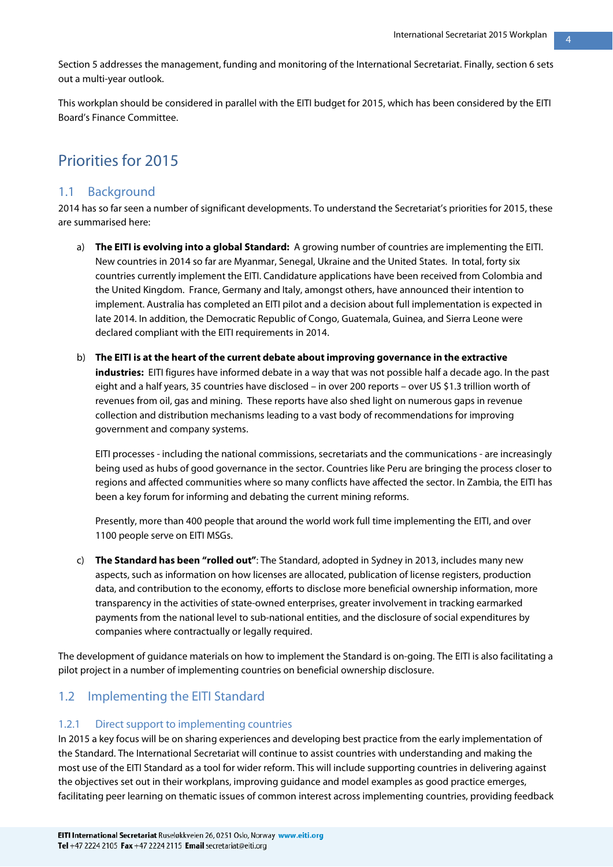Section 5 addresses the management, funding and monitoring of the International Secretariat. Finally, section 6 sets out a multi-year outlook.

This workplan should be considered in parallel with the EITI budget for 2015, which has been considered by the EITI Board's Finance Committee.

## Priorities for 2015

#### 1.1 Background

2014 has so far seen a number of significant developments. To understand the Secretariat's priorities for 2015, these are summarised here:

- a) **The EITI is evolving into a global Standard:** A growing number of countries are implementing the EITI. New countries in 2014 so far are Myanmar, Senegal, Ukraine and the United States. In total, forty six countries currently implement the EITI. Candidature applications have been received from Colombia and the United Kingdom. France, Germany and Italy, amongst others, have announced their intention to implement. Australia has completed an EITI pilot and a decision about full implementation is expected in late 2014. In addition, the Democratic Republic of Congo, Guatemala, Guinea, and Sierra Leone were declared compliant with the EITI requirements in 2014.
- b) **The EITI is at the heart of the current debate about improving governance in the extractive industries:** EITI figures have informed debate in a way that was not possible half a decade ago. In the past eight and a half years, 35 countries have disclosed – in over 200 reports – over US \$1.3 trillion worth of revenues from oil, gas and mining. These reports have also shed light on numerous gaps in revenue collection and distribution mechanisms leading to a vast body of recommendations for improving government and company systems.

EITI processes - including the national commissions, secretariats and the communications - are increasingly being used as hubs of good governance in the sector. Countries like Peru are bringing the process closer to regions and affected communities where so many conflicts have affected the sector. In Zambia, the EITI has been a key forum for informing and debating the current mining reforms.

Presently, more than 400 people that around the world work full time implementing the EITI, and over 1100 people serve on EITI MSGs.

c) **The Standard has been "rolled out"**: The Standard, adopted in Sydney in 2013, includes many new aspects, such as information on how licenses are allocated, publication of license registers, production data, and contribution to the economy, efforts to disclose more beneficial ownership information, more transparency in the activities of state-owned enterprises, greater involvement in tracking earmarked payments from the national level to sub-national entities, and the disclosure of social expenditures by companies where contractually or legally required.

The development of guidance materials on how to implement the Standard is on-going. The EITI is also facilitating a pilot project in a number of implementing countries on beneficial ownership disclosure.

#### 1.2 Implementing the EITI Standard

#### 1.2.1 Direct support to implementing countries

In 2015 a key focus will be on sharing experiences and developing best practice from the early implementation of the Standard. The International Secretariat will continue to assist countries with understanding and making the most use of the EITI Standard as a tool for wider reform. This will include supporting countries in delivering against the objectives set out in their workplans, improving guidance and model examples as good practice emerges, facilitating peer learning on thematic issues of common interest across implementing countries, providing feedback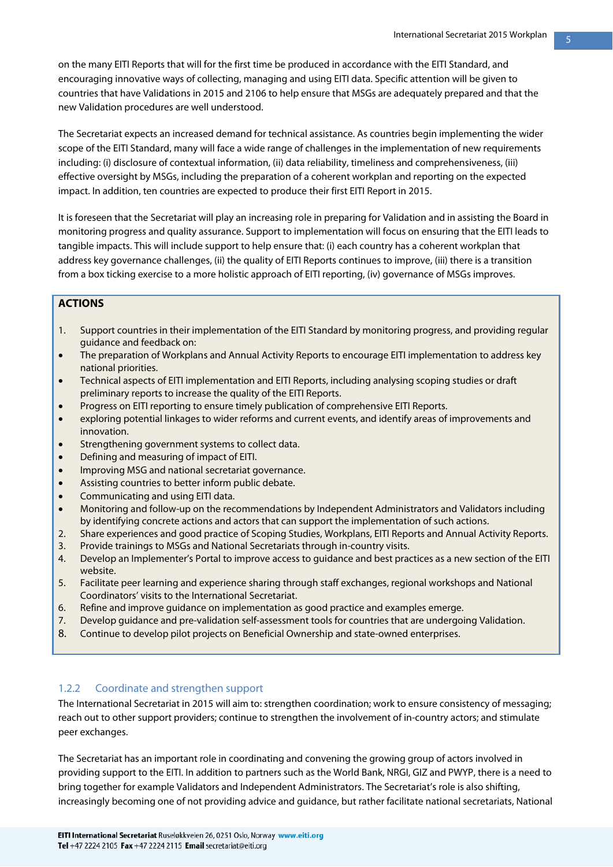on the many EITI Reports that will for the first time be produced in accordance with the EITI Standard, and encouraging innovative ways of collecting, managing and using EITI data. Specific attention will be given to countries that have Validations in 2015 and 2106 to help ensure that MSGs are adequately prepared and that the new Validation procedures are well understood.

The Secretariat expects an increased demand for technical assistance. As countries begin implementing the wider scope of the EITI Standard, many will face a wide range of challenges in the implementation of new requirements including: (i) disclosure of contextual information, (ii) data reliability, timeliness and comprehensiveness, (iii) effective oversight by MSGs, including the preparation of a coherent workplan and reporting on the expected impact. In addition, ten countries are expected to produce their first EITI Report in 2015.

It is foreseen that the Secretariat will play an increasing role in preparing for Validation and in assisting the Board in monitoring progress and quality assurance. Support to implementation will focus on ensuring that the EITI leads to tangible impacts. This will include support to help ensure that: (i) each country has a coherent workplan that address key governance challenges, (ii) the quality of EITI Reports continues to improve, (iii) there is a transition from a box ticking exercise to a more holistic approach of EITI reporting, (iv) governance of MSGs improves.

#### **ACTIONS**

- 1. Support countries in their implementation of the EITI Standard by monitoring progress, and providing regular guidance and feedback on:
- The preparation of Workplans and Annual Activity Reports to encourage EITI implementation to address key national priorities.
- Technical aspects of EITI implementation and EITI Reports, including analysing scoping studies or draft preliminary reports to increase the quality of the EITI Reports.
- Progress on EITI reporting to ensure timely publication of comprehensive EITI Reports.
- exploring potential linkages to wider reforms and current events, and identify areas of improvements and innovation.
- Strengthening government systems to collect data.
- Defining and measuring of impact of EITI.
- Improving MSG and national secretariat governance.
- Assisting countries to better inform public debate.
- Communicating and using EITI data.
- Monitoring and follow-up on the recommendations by Independent Administrators and Validators including by identifying concrete actions and actors that can support the implementation of such actions.
- 2. Share experiences and good practice of Scoping Studies, Workplans, EITI Reports and Annual Activity Reports. 3. Provide trainings to MSGs and National Secretariats through in-country visits.
- 4. Develop an Implementer's Portal to improve access to guidance and best practices as a new section of the EITI website.
- 5. Facilitate peer learning and experience sharing through staff exchanges, regional workshops and National Coordinators' visits to the International Secretariat.
- 6. Refine and improve guidance on implementation as good practice and examples emerge.
- 7. Develop guidance and pre-validation self-assessment tools for countries that are undergoing Validation.
- 8. Continue to develop pilot projects on Beneficial Ownership and state-owned enterprises.

#### 1.2.2 Coordinate and strengthen support

The International Secretariat in 2015 will aim to: strengthen coordination; work to ensure consistency of messaging; reach out to other support providers; continue to strengthen the involvement of in-country actors; and stimulate peer exchanges.

The Secretariat has an important role in coordinating and convening the growing group of actors involved in providing support to the EITI. In addition to partners such as the World Bank, NRGI, GIZ and PWYP, there is a need to bring together for example Validators and Independent Administrators. The Secretariat's role is also shifting, increasingly becoming one of not providing advice and guidance, but rather facilitate national secretariats, National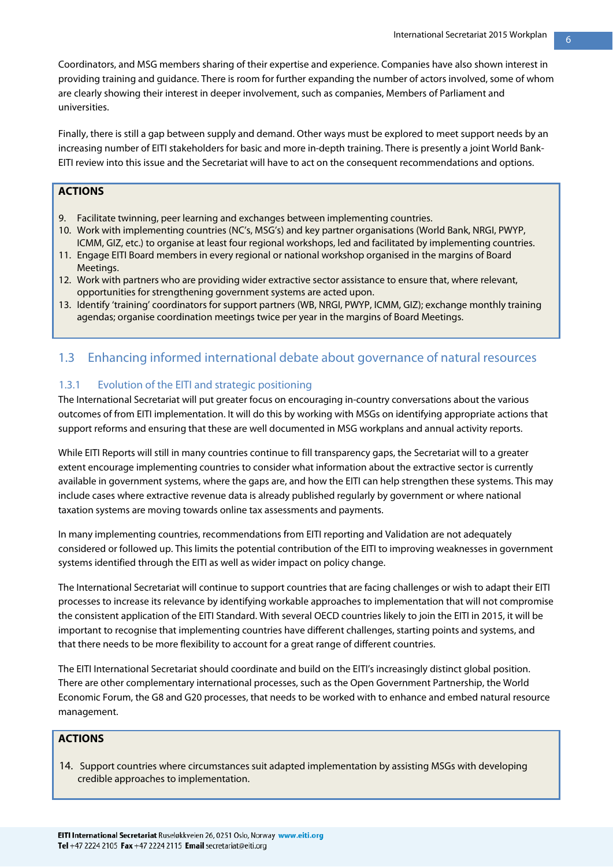Coordinators, and MSG members sharing of their expertise and experience. Companies have also shown interest in providing training and guidance. There is room for further expanding the number of actors involved, some of whom are clearly showing their interest in deeper involvement, such as companies, Members of Parliament and universities.

Finally, there is still a gap between supply and demand. Other ways must be explored to meet support needs by an increasing number of EITI stakeholders for basic and more in-depth training. There is presently a joint World Bank-EITI review into this issue and the Secretariat will have to act on the consequent recommendations and options.

#### **ACTIONS**

- 9. Facilitate twinning, peer learning and exchanges between implementing countries.
- 10. Work with implementing countries (NC's, MSG's) and key partner organisations (World Bank, NRGI, PWYP, ICMM, GIZ, etc.) to organise at least four regional workshops, led and facilitated by implementing countries.
- 11. Engage EITI Board members in every regional or national workshop organised in the margins of Board Meetings.
- 12. Work with partners who are providing wider extractive sector assistance to ensure that, where relevant, opportunities for strengthening government systems are acted upon.
- 13. Identify 'training' coordinators for support partners (WB, NRGI, PWYP, ICMM, GIZ); exchange monthly training agendas; organise coordination meetings twice per year in the margins of Board Meetings.

#### 1.3 Enhancing informed international debate about governance of natural resources

#### 1.3.1 Evolution of the EITI and strategic positioning

The International Secretariat will put greater focus on encouraging in-country conversations about the various outcomes of from EITI implementation. It will do this by working with MSGs on identifying appropriate actions that support reforms and ensuring that these are well documented in MSG workplans and annual activity reports.

While EITI Reports will still in many countries continue to fill transparency gaps, the Secretariat will to a greater extent encourage implementing countries to consider what information about the extractive sector is currently available in government systems, where the gaps are, and how the EITI can help strengthen these systems. This may include cases where extractive revenue data is already published regularly by government or where national taxation systems are moving towards online tax assessments and payments.

In many implementing countries, recommendations from EITI reporting and Validation are not adequately considered or followed up. This limits the potential contribution of the EITI to improving weaknesses in government systems identified through the EITI as well as wider impact on policy change.

The International Secretariat will continue to support countries that are facing challenges or wish to adapt their EITI processes to increase its relevance by identifying workable approaches to implementation that will not compromise the consistent application of the EITI Standard. With several OECD countries likely to join the EITI in 2015, it will be important to recognise that implementing countries have different challenges, starting points and systems, and that there needs to be more flexibility to account for a great range of different countries.

The EITI International Secretariat should coordinate and build on the EITI's increasingly distinct global position. There are other complementary international processes, such as the Open Government Partnership, the World Economic Forum, the G8 and G20 processes, that needs to be worked with to enhance and embed natural resource management.

#### **ACTIONS**

14. Support countries where circumstances suit adapted implementation by assisting MSGs with developing credible approaches to implementation.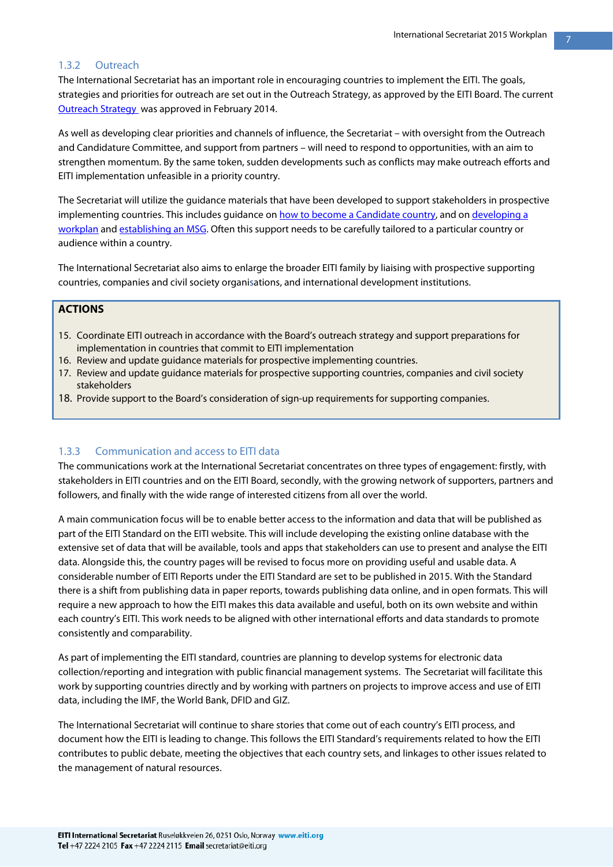#### 1.3.2 Outreach

The International Secretariat has an important role in encouraging countries to implement the EITI. The goals, strategies and priorities for outreach are set out in the Outreach Strategy, as approved by the EITI Board. The current [Outreach Strategy w](http://eiti.org/files/BC-164-with-attachments.pdf)as approved in February 2014.

As well as developing clear priorities and channels of influence, the Secretariat – with oversight from the Outreach and Candidature Committee, and support from partners – will need to respond to opportunities, with an aim to strengthen momentum. By the same token, sudden developments such as conflicts may make outreach efforts and EITI implementation unfeasible in a priority country.

The Secretariat will utilize the guidance materials that have been developed to support stakeholders in prospective implementing countries. This includes guidance o[n how to become a Candidate country,](http://eiti.org/files/GN/Guidance-note-1-How-to-become-a-Candidate-country.pdf) and on developing a [workplan](http://eiti.org/files/Guidance-Note-workplan-final_EN.pdf) and [establishing an MSG.](http://eiti.org/files/GN/Guidance_note_14_MSG_governance_EN.pdf) Often this support needs to be carefully tailored to a particular country or audience within a country.

The International Secretariat also aims to enlarge the broader EITI family by liaising with prospective supporting countries, companies and civil society organisations, and international development institutions.

#### **ACTIONS**

- 15. Coordinate EITI outreach in accordance with the Board's outreach strategy and support preparations for implementation in countries that commit to EITI implementation
- 16. Review and update guidance materials for prospective implementing countries.
- 17. Review and update guidance materials for prospective supporting countries, companies and civil society stakeholders
- 18. Provide support to the Board's consideration of sign-up requirements for supporting companies.

#### 1.3.3 Communication and access to EITI data

The communications work at the International Secretariat concentrates on three types of engagement: firstly, with stakeholders in EITI countries and on the EITI Board, secondly, with the growing network of supporters, partners and followers, and finally with the wide range of interested citizens from all over the world.

A main communication focus will be to enable better access to the information and data that will be published as part of the EITI Standard on the EITI website. This will include developing the existing online database with the extensive set of data that will be available, tools and apps that stakeholders can use to present and analyse the EITI data. Alongside this, the country pages will be revised to focus more on providing useful and usable data. A considerable number of EITI Reports under the EITI Standard are set to be published in 2015. With the Standard there is a shift from publishing data in paper reports, towards publishing data online, and in open formats. This will require a new approach to how the EITI makes this data available and useful, both on its own website and within each country's EITI. This work needs to be aligned with other international efforts and data standards to promote consistently and comparability.

As part of implementing the EITI standard, countries are planning to develop systems for electronic data collection/reporting and integration with public financial management systems. The Secretariat will facilitate this work by supporting countries directly and by working with partners on projects to improve access and use of EITI data, including the IMF, the World Bank, DFID and GIZ.

The International Secretariat will continue to share stories that come out of each country's EITI process, and document how the EITI is leading to change. This follows the EITI Standard's requirements related to how the EITI contributes to public debate, meeting the objectives that each country sets, and linkages to other issues related to the management of natural resources.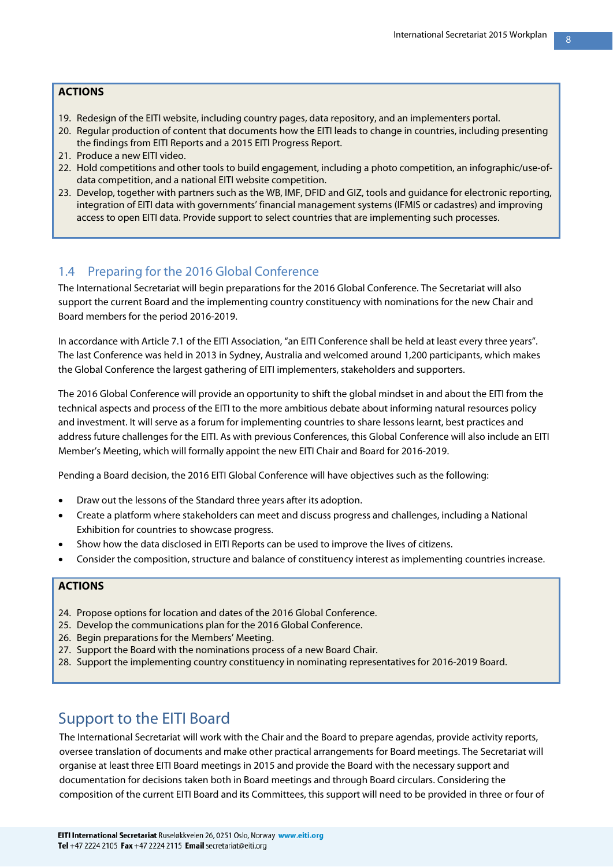#### **ACTIONS**

- 19. Redesign of the EITI website, including country pages, data repository, and an implementers portal.
- 20. Regular production of content that documents how the EITI leads to change in countries, including presenting the findings from EITI Reports and a 2015 EITI Progress Report.
- 21. Produce a new EITI video.
- 22. Hold competitions and other tools to build engagement, including a photo competition, an infographic/use-ofdata competition, and a national EITI website competition.
- 23. Develop, together with partners such as the WB, IMF, DFID and GIZ, tools and guidance for electronic reporting, integration of EITI data with governments' financial management systems (IFMIS or cadastres) and improving access to open EITI data. Provide support to select countries that are implementing such processes.

#### 1.4 Preparing for the 2016 Global Conference

The International Secretariat will begin preparations for the 2016 Global Conference. The Secretariat will also support the current Board and the implementing country constituency with nominations for the new Chair and Board members for the period 2016-2019.

In accordance with Article 7.1 of the EITI Association, "an EITI Conference shall be held at least every three years". The last Conference was held in 2013 in Sydney, Australia and welcomed around 1,200 participants, which makes the Global Conference the largest gathering of EITI implementers, stakeholders and supporters.

The 2016 Global Conference will provide an opportunity to shift the global mindset in and about the EITI from the technical aspects and process of the EITI to the more ambitious debate about informing natural resources policy and investment. It will serve as a forum for implementing countries to share lessons learnt, best practices and address future challenges for the EITI. As with previous Conferences, this Global Conference will also include an EITI Member's Meeting, which will formally appoint the new EITI Chair and Board for 2016-2019.

Pending a Board decision, the 2016 EITI Global Conference will have objectives such as the following:

- Draw out the lessons of the Standard three years after its adoption.
- Create a platform where stakeholders can meet and discuss progress and challenges, including a National Exhibition for countries to showcase progress.
- Show how the data disclosed in EITI Reports can be used to improve the lives of citizens.
- Consider the composition, structure and balance of constituency interest as implementing countries increase.

#### **ACTIONS**

- 24. Propose options for location and dates of the 2016 Global Conference.
- 25. Develop the communications plan for the 2016 Global Conference.
- 26. Begin preparations for the Members' Meeting.
- 27. Support the Board with the nominations process of a new Board Chair.
- 28. Support the implementing country constituency in nominating representatives for 2016-2019 Board.

### Support to the EITI Board

The International Secretariat will work with the Chair and the Board to prepare agendas, provide activity reports, oversee translation of documents and make other practical arrangements for Board meetings. The Secretariat will organise at least three EITI Board meetings in 2015 and provide the Board with the necessary support and documentation for decisions taken both in Board meetings and through Board circulars. Considering the composition of the current EITI Board and its Committees, this support will need to be provided in three or four of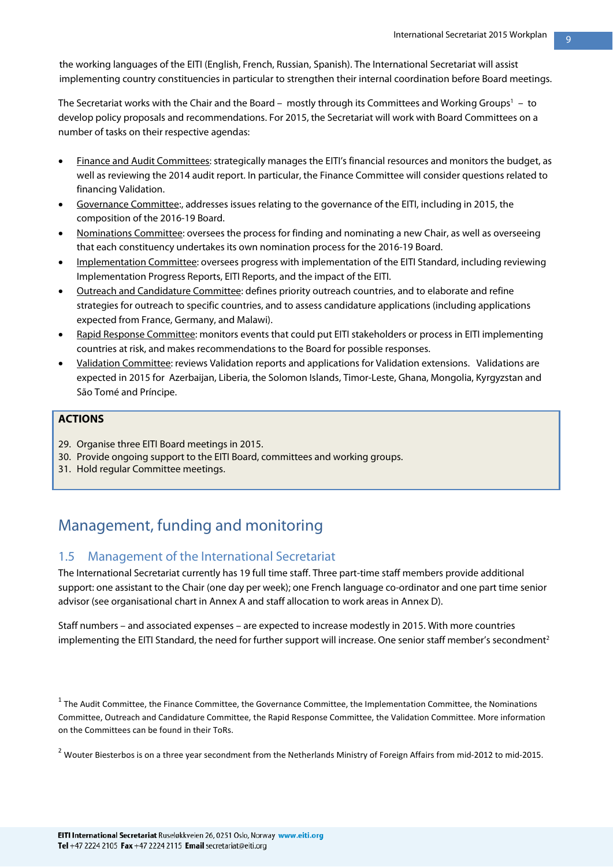the working languages of the EITI (English, French, Russian, Spanish). The International Secretariat will assist implementing country constituencies in particular to strengthen their internal coordination before Board meetings.

The Secretariat works with the Chair and the Board –  $\,$  mostly through its Committees and Working Groups $^{\rm I}$  –  $\,$  to  $\,$ develop policy proposals and recommendations. For 2015, the Secretariat will work with Board Committees on a number of tasks on their respective agendas:

- Finance and Audit Committees: strategically manages the EITI's financial resources and monitors the budget, as well as reviewing the 2014 audit report. In particular, the Finance Committee will consider questions related to financing Validation.
- Governance Committee:, addresses issues relating to the governance of the EITI, including in 2015, the composition of the 2016-19 Board.
- Nominations Committee: oversees the process for finding and nominating a new Chair, as well as overseeing that each constituency undertakes its own nomination process for the 2016-19 Board.
- Implementation Committee: oversees progress with implementation of the EITI Standard, including reviewing Implementation Progress Reports, EITI Reports, and the impact of the EITI.
- Outreach and Candidature Committee: defines priority outreach countries, and to elaborate and refine strategies for outreach to specific countries, and to assess candidature applications (including applications expected from France, Germany, and Malawi).
- Rapid Response Committee: monitors events that could put EITI stakeholders or process in EITI implementing countries at risk, and makes recommendations to the Board for possible responses.
- Validation Committee: reviews Validation reports and applications for Validation extensions. Validations are expected in 2015 for Azerbaijan, Liberia, the Solomon Islands, Timor-Leste, Ghana, Mongolia, Kyrgyzstan and São Tomé and Príncipe.

#### **ACTIONS**

- 29. Organise three EITI Board meetings in 2015.
- 30. Provide ongoing support to the EITI Board, committees and working groups.
- 31. Hold regular Committee meetings.

## Management, funding and monitoring

#### 1.5 Management of the International Secretariat

The International Secretariat currently has 19 full time staff. Three part-time staff members provide additional support: one assistant to the Chair (one day per week); one French language co-ordinator and one part time senior advisor (see organisational chart in Annex A and staff allocation to work areas in Annex D).

Staff numbers – and associated expenses – are expected to increase modestly in 2015. With more countries implementing the EITI Standard, the need for further support will increase. One senior staff member's secondment<sup>2</sup>

 $1$  The Audit Committee, the Finance Committee, the Governance Committee, the Implementation Committee, the Nominations Committee, Outreach and Candidature Committee, the Rapid Response Committee, the Validation Committee. More information on the Committees can be found in their ToRs.

 $2$  Wouter Biesterbos is on a three year secondment from the Netherlands Ministry of Foreign Affairs from mid-2012 to mid-2015.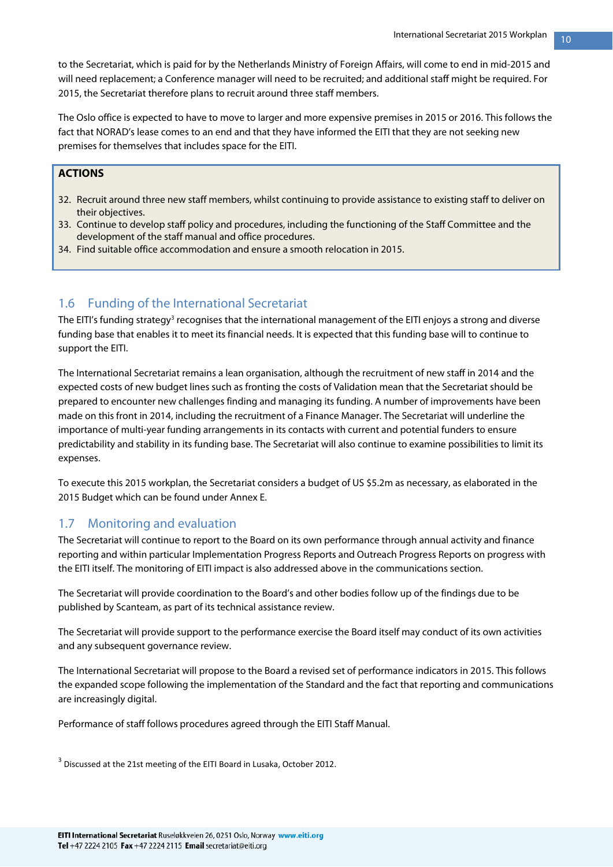to the Secretariat, which is paid for by the Netherlands Ministry of Foreign Affairs, will come to end in mid-2015 and will need replacement; a Conference manager will need to be recruited; and additional staff might be required. For 2015, the Secretariat therefore plans to recruit around three staff members.

The Oslo office is expected to have to move to larger and more expensive premises in 2015 or 2016. This follows the fact that NORAD's lease comes to an end and that they have informed the EITI that they are not seeking new premises for themselves that includes space for the EITI.

#### **ACTIONS**

- 32. Recruit around three new staff members, whilst continuing to provide assistance to existing staff to deliver on their objectives.
- 33. Continue to develop staff policy and procedures, including the functioning of the Staff Committee and the development of the staff manual and office procedures.
- 34. Find suitable office accommodation and ensure a smooth relocation in 2015.

#### 1.6 Funding of the International Secretariat

The EITI's funding strategy<sup>3</sup> recognises that the international management of the EITI enjoys a strong and diverse funding base that enables it to meet its financial needs. It is expected that this funding base will to continue to support the EITI.

The International Secretariat remains a lean organisation, although the recruitment of new staff in 2014 and the expected costs of new budget lines such as fronting the costs of Validation mean that the Secretariat should be prepared to encounter new challenges finding and managing its funding. A number of improvements have been made on this front in 2014, including the recruitment of a Finance Manager. The Secretariat will underline the importance of multi-year funding arrangements in its contacts with current and potential funders to ensure predictability and stability in its funding base. The Secretariat will also continue to examine possibilities to limit its expenses.

To execute this 2015 workplan, the Secretariat considers a budget of US \$5.2m as necessary, as elaborated in the 2015 Budget which can be found under Annex E.

#### 1.7 Monitoring and evaluation

The Secretariat will continue to report to the Board on its own performance through annual activity and finance reporting and within particular Implementation Progress Reports and Outreach Progress Reports on progress with the EITI itself. The monitoring of EITI impact is also addressed above in the communications section.

The Secretariat will provide coordination to the Board's and other bodies follow up of the findings due to be published by Scanteam, as part of its technical assistance review.

The Secretariat will provide support to the performance exercise the Board itself may conduct of its own activities and any subsequent governance review.

The International Secretariat will propose to the Board a revised set of performance indicators in 2015. This follows the expanded scope following the implementation of the Standard and the fact that reporting and communications are increasingly digital.

Performance of staff follows procedures agreed through the EITI Staff Manual.

<sup>3</sup> Discussed at the 21st meeting of the EITI Board in Lusaka, October 2012.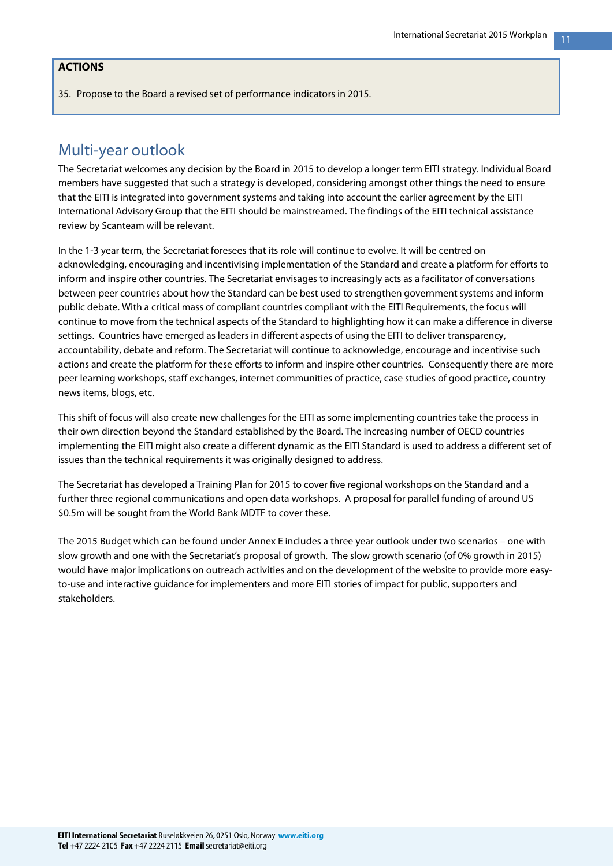#### **ACTIONS**

35. Propose to the Board a revised set of performance indicators in 2015.

## Multi-year outlook

The Secretariat welcomes any decision by the Board in 2015 to develop a longer term EITI strategy. Individual Board members have suggested that such a strategy is developed, considering amongst other things the need to ensure that the EITI is integrated into government systems and taking into account the earlier agreement by the EITI International Advisory Group that the EITI should be mainstreamed. The findings of the EITI technical assistance review by Scanteam will be relevant.

In the 1-3 year term, the Secretariat foresees that its role will continue to evolve. It will be centred on acknowledging, encouraging and incentivising implementation of the Standard and create a platform for efforts to inform and inspire other countries. The Secretariat envisages to increasingly acts as a facilitator of conversations between peer countries about how the Standard can be best used to strengthen government systems and inform public debate. With a critical mass of compliant countries compliant with the EITI Requirements, the focus will continue to move from the technical aspects of the Standard to highlighting how it can make a difference in diverse settings. Countries have emerged as leaders in different aspects of using the EITI to deliver transparency, accountability, debate and reform. The Secretariat will continue to acknowledge, encourage and incentivise such actions and create the platform for these efforts to inform and inspire other countries. Consequently there are more peer learning workshops, staff exchanges, internet communities of practice, case studies of good practice, country news items, blogs, etc.

This shift of focus will also create new challenges for the EITI as some implementing countries take the process in their own direction beyond the Standard established by the Board. The increasing number of OECD countries implementing the EITI might also create a different dynamic as the EITI Standard is used to address a different set of issues than the technical requirements it was originally designed to address.

The Secretariat has developed a Training Plan for 2015 to cover five regional workshops on the Standard and a further three regional communications and open data workshops. A proposal for parallel funding of around US \$0.5m will be sought from the World Bank MDTF to cover these.

The 2015 Budget which can be found under Annex E includes a three year outlook under two scenarios – one with slow growth and one with the Secretariat's proposal of growth. The slow growth scenario (of 0% growth in 2015) would have major implications on outreach activities and on the development of the website to provide more easyto-use and interactive guidance for implementers and more EITI stories of impact for public, supporters and stakeholders.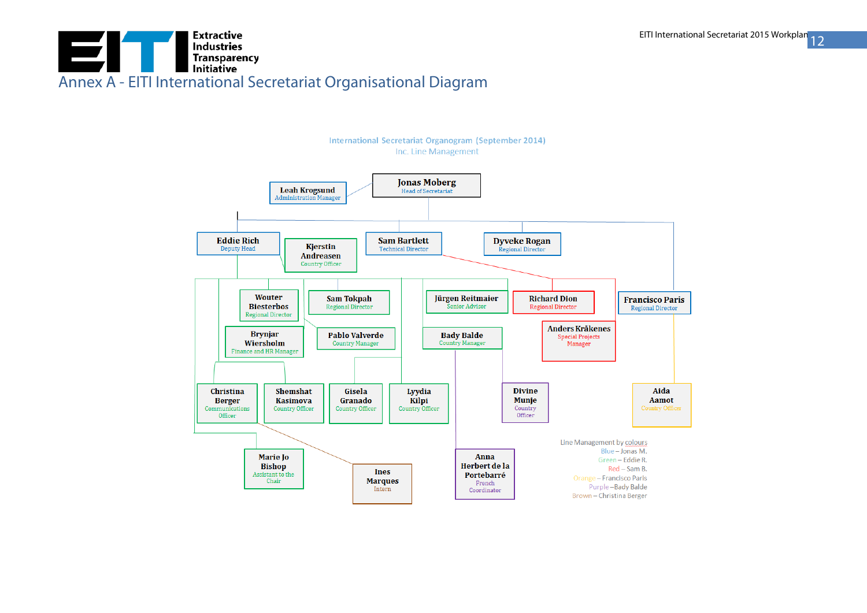## **Extractive** EITI **Industries**<br>Transparency<br>Initiative Annex A - EITI International Secretariat Organisational Diagram

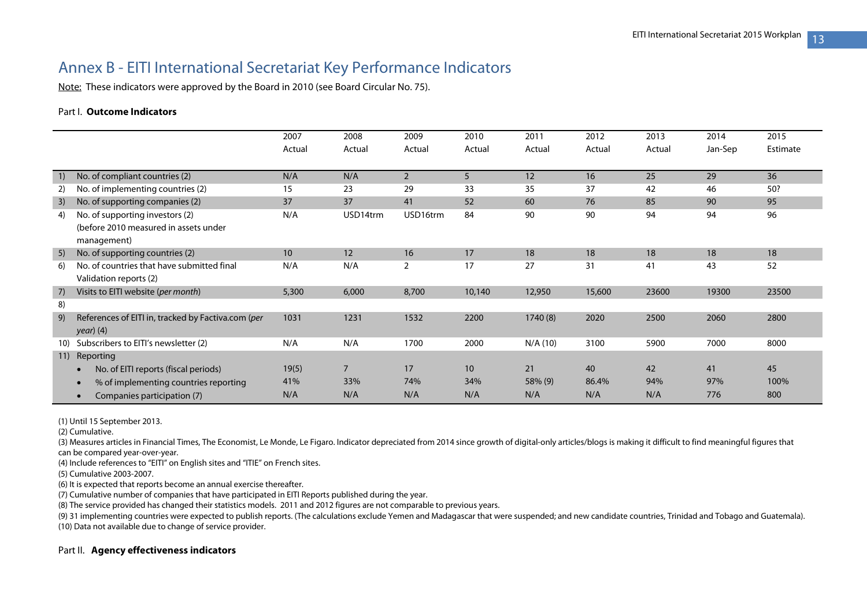## Annex B - EITI International Secretariat Key Performance Indicators

Note: These indicators were approved by the Board in 2010 (see Board Circular No. 75).

#### Part I. **Outcome Indicators**

| 2007<br>2008<br>2009<br>2010<br>2011<br>2012<br>2013<br>2014<br>2015<br>Jan-Sep<br>Actual<br>Actual<br>Actual<br>Actual<br>Estimate<br>Actual<br>Actual<br>Actual<br>No. of compliant countries (2)<br>N/A<br>N/A<br>$\overline{2}$<br>5<br>25<br>29<br>12<br>36<br>1)<br>16<br>29<br>23<br>33<br>35<br>37<br>42<br>50?<br>No. of implementing countries (2)<br>15<br>46<br>2)<br>52<br>No. of supporting companies (2)<br>37<br>37<br>41<br>60<br>76<br>85<br>90<br>95<br>3)<br>N/A<br>90<br>90<br>94<br>94<br>96<br>No. of supporting investors (2)<br>USD14trm<br>USD16trm<br>84<br>4)<br>(before 2010 measured in assets under<br>management)<br>17<br>No. of supporting countries (2)<br>12<br>16<br>18<br>18<br>18<br>18<br>10<br>18<br>5)<br>17<br>27<br>52<br>No. of countries that have submitted final<br>N/A<br>N/A<br>2<br>31<br>41<br>43<br>6) |  |
|-------------------------------------------------------------------------------------------------------------------------------------------------------------------------------------------------------------------------------------------------------------------------------------------------------------------------------------------------------------------------------------------------------------------------------------------------------------------------------------------------------------------------------------------------------------------------------------------------------------------------------------------------------------------------------------------------------------------------------------------------------------------------------------------------------------------------------------------------------------|--|
|                                                                                                                                                                                                                                                                                                                                                                                                                                                                                                                                                                                                                                                                                                                                                                                                                                                             |  |
|                                                                                                                                                                                                                                                                                                                                                                                                                                                                                                                                                                                                                                                                                                                                                                                                                                                             |  |
|                                                                                                                                                                                                                                                                                                                                                                                                                                                                                                                                                                                                                                                                                                                                                                                                                                                             |  |
|                                                                                                                                                                                                                                                                                                                                                                                                                                                                                                                                                                                                                                                                                                                                                                                                                                                             |  |
|                                                                                                                                                                                                                                                                                                                                                                                                                                                                                                                                                                                                                                                                                                                                                                                                                                                             |  |
|                                                                                                                                                                                                                                                                                                                                                                                                                                                                                                                                                                                                                                                                                                                                                                                                                                                             |  |
|                                                                                                                                                                                                                                                                                                                                                                                                                                                                                                                                                                                                                                                                                                                                                                                                                                                             |  |
|                                                                                                                                                                                                                                                                                                                                                                                                                                                                                                                                                                                                                                                                                                                                                                                                                                                             |  |
|                                                                                                                                                                                                                                                                                                                                                                                                                                                                                                                                                                                                                                                                                                                                                                                                                                                             |  |
|                                                                                                                                                                                                                                                                                                                                                                                                                                                                                                                                                                                                                                                                                                                                                                                                                                                             |  |
|                                                                                                                                                                                                                                                                                                                                                                                                                                                                                                                                                                                                                                                                                                                                                                                                                                                             |  |
| Validation reports (2)                                                                                                                                                                                                                                                                                                                                                                                                                                                                                                                                                                                                                                                                                                                                                                                                                                      |  |
| Visits to EITI website (per month)<br>5,300<br>6,000<br>8,700<br>10,140<br>12,950<br>15,600<br>23600<br>19300<br>23500<br>7)                                                                                                                                                                                                                                                                                                                                                                                                                                                                                                                                                                                                                                                                                                                                |  |
| 8)                                                                                                                                                                                                                                                                                                                                                                                                                                                                                                                                                                                                                                                                                                                                                                                                                                                          |  |
| References of EITI in, tracked by Factiva.com (per<br>9)<br>1231<br>1532<br>2200<br>1740(8)<br>2020<br>2500<br>2060<br>2800<br>1031                                                                                                                                                                                                                                                                                                                                                                                                                                                                                                                                                                                                                                                                                                                         |  |
| <i>year</i> ) (4)                                                                                                                                                                                                                                                                                                                                                                                                                                                                                                                                                                                                                                                                                                                                                                                                                                           |  |
| Subscribers to EITI's newsletter (2)<br>N/A<br>N/A<br>2000<br>1700<br>N/A (10)<br>3100<br>5900<br>7000<br>8000<br>10)                                                                                                                                                                                                                                                                                                                                                                                                                                                                                                                                                                                                                                                                                                                                       |  |
| Reporting<br>11)                                                                                                                                                                                                                                                                                                                                                                                                                                                                                                                                                                                                                                                                                                                                                                                                                                            |  |
| 7<br>17<br>21<br>40<br>42<br>No. of EITI reports (fiscal periods)<br>19(5)<br>10<br>41<br>45<br>$\bullet$                                                                                                                                                                                                                                                                                                                                                                                                                                                                                                                                                                                                                                                                                                                                                   |  |
| 74%<br>34%<br>58% (9)<br>86.4%<br>94%<br>97%<br>41%<br>33%<br>100%<br>% of implementing countries reporting<br>$\bullet$                                                                                                                                                                                                                                                                                                                                                                                                                                                                                                                                                                                                                                                                                                                                    |  |
| N/A<br>N/A<br>N/A<br>N/A<br>N/A<br>N/A<br>N/A<br>800<br>776<br>Companies participation (7)<br>$\bullet$                                                                                                                                                                                                                                                                                                                                                                                                                                                                                                                                                                                                                                                                                                                                                     |  |

(1) Until 15 September 2013.

(2) Cumulative.

(3) Measures articles in Financial Times, The Economist, Le Monde, Le Figaro. Indicator depreciated from 2014 since growth of digital-only articles/blogs is making it difficult to find meaningful figures that can be compared year-over-year.

(4) Include references to "EITI" on English sites and "ITIE" on French sites.

(5) Cumulative 2003-2007.

(6) It is expected that reports become an annual exercise thereafter.

(7) Cumulative number of companies that have participated in EITI Reports published during the year.

(8) The service provided has changed their statistics models. 2011 and 2012 figures are not comparable to previous years.

(9) 31 implementing countries were expected to publish reports. (The calculations exclude Yemen and Madagascar that were suspended; and new candidate countries, Trinidad and Tobago and Guatemala). (10) Data not available due to change of service provider.

#### Part II. **Agency effectiveness indicators**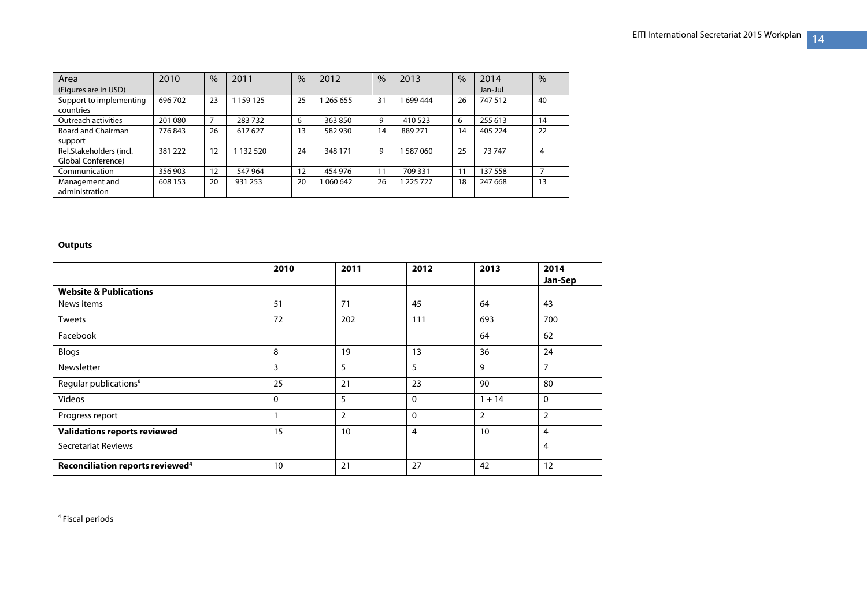| Area                    | 2010    | $\%$ | 2011      | $\frac{0}{0}$ | 2012    | $\frac{0}{0}$ | 2013      | $\frac{0}{0}$ | 2014    | $\%$ |
|-------------------------|---------|------|-----------|---------------|---------|---------------|-----------|---------------|---------|------|
| (Figures are in USD)    |         |      |           |               |         |               |           |               | Jan-Jul |      |
| Support to implementing | 696702  | 23   | 159 125   | 25            | 265 655 | 31            | 699 444   | 26            | 747 512 | 40   |
| countries               |         |      |           |               |         |               |           |               |         |      |
| Outreach activities     | 201 080 |      | 283732    | 6             | 363850  | 9             | 410 523   | 6             | 255 613 | 14   |
| Board and Chairman      | 776843  | 26   | 617627    | 13            | 582930  | 14            | 889 271   | 14            | 405 224 | 22   |
| support                 |         |      |           |               |         |               |           |               |         |      |
| Rel.Stakeholders (incl. | 381 222 | 12   | 1 132 520 | 24            | 348 171 | 9             | 587060    | 25            | 73747   | 4    |
| Global Conference)      |         |      |           |               |         |               |           |               |         |      |
| Communication           | 356 903 | 12   | 547 964   | 12            | 454 976 | 11            | 709 331   |               | 137 558 |      |
| Management and          | 608 153 | 20   | 931 253   | 20            | 060 642 | 26            | 1 225 727 | 18            | 247 668 | 13   |
| administration          |         |      |           |               |         |               |           |               |         |      |

#### **Outputs**

|                                              | 2010         | 2011           | 2012           | 2013           | 2014           |
|----------------------------------------------|--------------|----------------|----------------|----------------|----------------|
|                                              |              |                |                |                | Jan-Sep        |
| <b>Website &amp; Publications</b>            |              |                |                |                |                |
| News items                                   | 51           | 71             | 45             | 64             | 43             |
| Tweets                                       | 72           | 202            | 111            | 693            | 700            |
| Facebook                                     |              |                |                | 64             | 62             |
| Blogs                                        | 8            | 19             | 13             | 36             | 24             |
| Newsletter                                   | 3            | 5              | 5              | 9              | $\overline{7}$ |
| Regular publications <sup>8</sup>            | 25           | 21             | 23             | 90             | 80             |
| Videos                                       | $\mathbf{0}$ | 5              | 0              | $1 + 14$       | $\mathbf{0}$   |
| Progress report                              |              | $\overline{2}$ | 0              | $\overline{2}$ | $\overline{2}$ |
| <b>Validations reports reviewed</b>          | 15           | 10             | $\overline{4}$ | 10             | $\overline{4}$ |
| <b>Secretariat Reviews</b>                   |              |                |                |                | 4              |
| Reconciliation reports reviewed <sup>4</sup> | 10           | 21             | 27             | 42             | 12             |

<sup>4</sup> Fiscal periods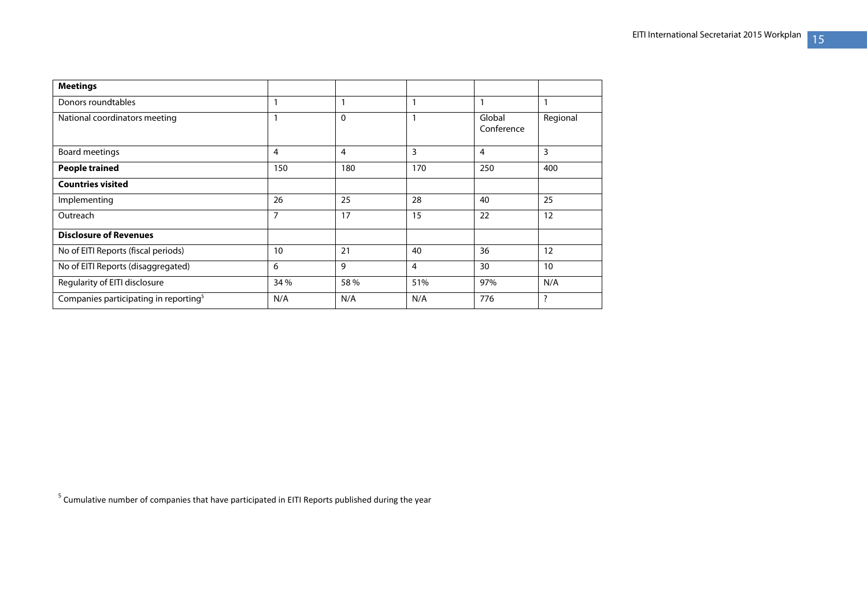| <b>Meetings</b>                                   |      |                |     |                      |          |
|---------------------------------------------------|------|----------------|-----|----------------------|----------|
| Donors roundtables                                |      | 1              |     | $\mathbf{1}$         |          |
| National coordinators meeting                     | и    | $\Omega$       | 1   | Global<br>Conference | Regional |
| Board meetings                                    | 4    | $\overline{4}$ | 3   | $\overline{4}$       | 3        |
| <b>People trained</b>                             | 150  | 180            | 170 | 250                  | 400      |
| <b>Countries visited</b>                          |      |                |     |                      |          |
| Implementing                                      | 26   | 25             | 28  | 40                   | 25       |
| Outreach                                          | 7    | 17             | 15  | 22                   | 12       |
| <b>Disclosure of Revenues</b>                     |      |                |     |                      |          |
| No of EITI Reports (fiscal periods)               | 10   | 21             | 40  | 36                   | 12       |
| No of EITI Reports (disaggregated)                | 6    | 9              | 4   | 30                   | 10       |
| Regularity of EITI disclosure                     | 34 % | 58 %           | 51% | 97%                  | N/A      |
| Companies participating in reporting <sup>5</sup> | N/A  | N/A            | N/A | 776                  | ?        |

 $5$  Cumulative number of companies that have participated in EITI Reports published during the year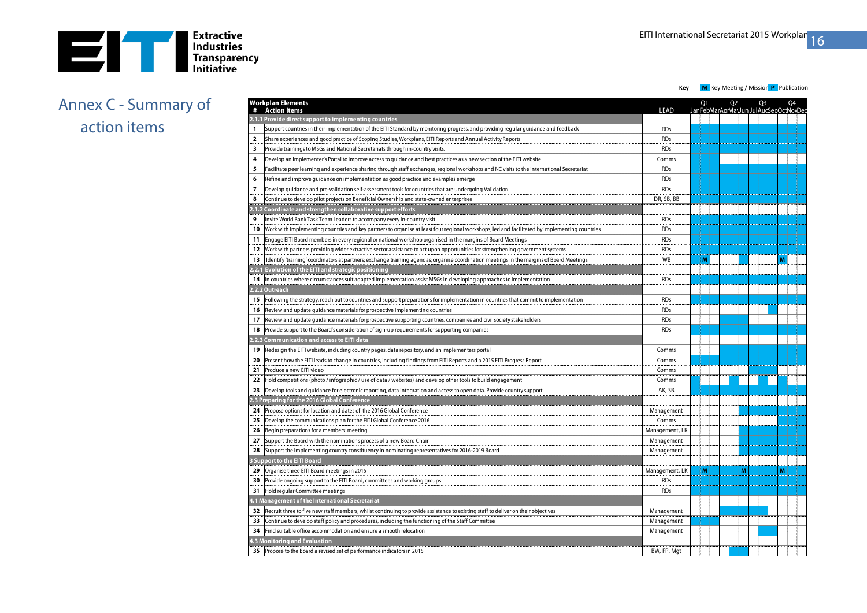

## Annex C - Summary of action items

|                          | Workplan Elements<br><b>Action Items</b>                                                                                                      | <b>LEAD</b>    | Q1 |                | Q <sub>2</sub> |    | Q <sub>3</sub> | JanFebMarAprMayJun JulAucSepOctNovDeo | Q4 |
|--------------------------|-----------------------------------------------------------------------------------------------------------------------------------------------|----------------|----|----------------|----------------|----|----------------|---------------------------------------|----|
|                          | 2.1.1 Provide direct support to implementing countries                                                                                        |                |    |                |                |    |                |                                       |    |
| 1                        | Support countries in their implementation of the EITI Standard by monitoring progress, and providing regular guidance and feedback            | <b>RDs</b>     |    |                |                |    |                |                                       |    |
| $\overline{\mathbf{2}}$  | Share experiences and good practice of Scoping Studies, Workplans, EITI Reports and Annual Activity Reports                                   | <b>RDs</b>     |    |                |                |    |                |                                       |    |
| $\overline{\mathbf{3}}$  | Provide trainings to MSGs and National Secretariats through in-country visits.                                                                | <b>RDs</b>     |    | متواسد بالمد   |                |    |                |                                       |    |
| $\overline{4}$           | Develop an Implementer's Portal to improve access to guidance and best practices as a new section of the EITI website                         | Comms          |    |                |                |    |                |                                       |    |
| 5                        | Facilitate peer learning and experience sharing through staff exchanges, regional workshops and NC visits to the international Secretariat    | <b>RDs</b>     |    |                |                |    |                |                                       |    |
| 6                        | Refine and improve guidance on implementation as good practice and examples emerge                                                            | <b>RDs</b>     |    |                |                |    |                |                                       |    |
| $\overline{\phantom{a}}$ | Develop guidance and pre-validation self-assessment tools for countries that are undergoing Validation                                        | <b>RDs</b>     |    |                |                |    |                |                                       |    |
| 8                        | Continue to develop pilot projects on Beneficial Ownership and state-owned enterprises                                                        | DR, SB, BB     |    |                |                |    |                |                                       |    |
|                          | 2.1.2 Coordinate and strengthen collaborative support efforts                                                                                 |                |    |                |                |    |                |                                       |    |
| 9                        | Invite World Bank Task Team Leaders to accompany every in-country visit                                                                       | <b>RDs</b>     |    |                |                |    |                |                                       |    |
| 10                       | Work with implementing countries and key partners to organise at least four regional workshops, led and facilitated by implementing countries | <b>RDs</b>     |    |                |                |    |                |                                       |    |
| 11                       | Engage EITI Board members in every regional or national workshop organised in the margins of Board Meetings                                   | <b>RDs</b>     |    |                |                |    |                |                                       |    |
| 12                       | Work with partners providing wider extractive sector assistance to act upon opportunities for strengthening government systems                | <b>RDs</b>     |    |                |                |    |                |                                       |    |
| 13                       | Identify 'training' coordinators at partners; exchange training agendas; organise coordination meetings in the margins of Board Meetings      | <b>WB</b>      | M  |                |                |    |                | M                                     |    |
|                          | 2.2.1 Evolution of the EITI and strategic positioning                                                                                         |                |    |                |                |    |                |                                       |    |
| 14                       | In countries where circumstances suit adapted implementation assist MSGs in developing approaches to implementation                           | <b>RDs</b>     |    |                |                |    |                |                                       |    |
|                          | 2.2.2 Outreach                                                                                                                                |                |    |                |                |    |                |                                       |    |
| 15                       | Following the strategy, reach out to countries and support preparations for implementation in countries that commit to implementation         | <b>RDs</b>     |    |                |                |    |                |                                       |    |
| 16                       | Review and update guidance materials for prospective implementing countries                                                                   | <b>RDs</b>     |    |                |                |    |                |                                       |    |
| 17                       | Review and update quidance materials for prospective supporting countries, companies and civil society stakeholders                           | <b>RDs</b>     |    |                |                |    |                |                                       |    |
| 18                       | Provide support to the Board's consideration of sign-up requirements for supporting companies                                                 | <b>RDs</b>     |    |                |                |    |                |                                       |    |
|                          | 2.2.3 Communication and access to EITI data                                                                                                   |                |    |                |                |    |                |                                       |    |
| 19                       | Redesign the EITI website, including country pages, data repository, and an implementers portal                                               | Comms          |    |                |                |    |                |                                       |    |
| 20                       | Present how the EITI leads to change in countries, including findings from EITI Reports and a 2015 EITI Progress Report                       | Comms          |    |                |                |    |                |                                       |    |
| 21                       | Produce a new EITI video                                                                                                                      | Comms          |    |                |                |    |                |                                       |    |
| 22                       | Hold competitions (photo / infographic / use of data / websites) and develop other tools to build engagement                                  | Comms          |    |                |                |    |                |                                       |    |
| 23                       | Develop tools and guidance for electronic reporting, data integration and access to open data. Provide country support.                       | AK, SB         |    |                |                |    |                |                                       |    |
|                          | 2.3 Preparing for the 2016 Global Conference                                                                                                  |                |    |                |                |    |                |                                       |    |
| 24                       | Propose options for location and dates of the 2016 Global Conference                                                                          | Management     |    |                |                |    |                |                                       |    |
| 25                       | Develop the communications plan for the EITI Global Conference 2016                                                                           | Comms          |    |                |                |    |                |                                       |    |
| 26                       | Begin preparations for a members' meeting                                                                                                     | Management, LK |    |                |                |    |                |                                       |    |
| 27                       | Support the Board with the nominations process of a new Board Chair                                                                           | Management     |    |                |                |    |                |                                       |    |
| 28                       | Support the implementing country constituency in nominating representatives for 2016-2019 Board                                               | Management     |    |                |                |    |                |                                       |    |
|                          | <b>3 Support to the EITI Board</b>                                                                                                            |                |    |                |                |    |                |                                       |    |
| 29                       | Organise three EITI Board meetings in 2015                                                                                                    | Management, LK |    | $\blacksquare$ |                | İМ |                | мi                                    |    |
| 30                       | Provide ongoing support to the EITI Board, committees and working groups                                                                      | <b>RDs</b>     |    |                |                |    |                |                                       |    |
| 31                       | Hold regular Committee meetings                                                                                                               | <b>RDs</b>     |    |                |                |    |                |                                       |    |
|                          | 4.1 Management of the International Secretariat                                                                                               |                |    |                |                |    |                |                                       |    |
| 32                       | Recruit three to five new staff members, whilst continuing to provide assistance to existing staff to deliver on their objectives             | Management     |    |                |                |    |                |                                       |    |
| 33                       | Continue to develop staff policy and procedures, including the functioning of the Staff Committee                                             | Management     |    |                |                |    |                |                                       |    |
| 34                       | Find suitable office accommodation and ensure a smooth relocation                                                                             | Management     |    |                |                |    |                |                                       |    |
|                          | 4.3 Monitoring and Evaluation                                                                                                                 |                |    |                |                |    |                |                                       |    |
| 35                       | Propose to the Board a revised set of performance indicators in 2015                                                                          | BW, FP, Mgt    |    |                |                |    |                |                                       |    |
|                          |                                                                                                                                               |                |    |                |                |    |                |                                       |    |

**Key M** Key Meeting / Mission **P** Publication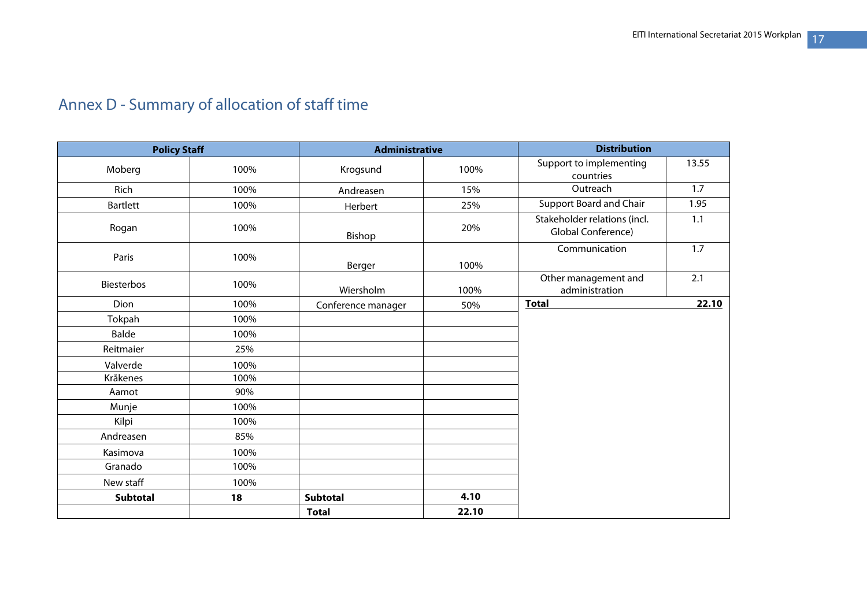| <b>Policy Staff</b> |      | <b>Administrative</b> |       | <b>Distribution</b>                                |       |
|---------------------|------|-----------------------|-------|----------------------------------------------------|-------|
| Moberg              | 100% | Krogsund              | 100%  | Support to implementing<br>countries               | 13.55 |
| Rich                | 100% | Andreasen             | 15%   | Outreach                                           | 1.7   |
| <b>Bartlett</b>     | 100% | Herbert               | 25%   | <b>Support Board and Chair</b>                     | 1.95  |
| Rogan               | 100% | Bishop                | 20%   | Stakeholder relations (incl.<br>Global Conference) | 1.1   |
| Paris               | 100% | Berger                | 100%  | Communication                                      | 1.7   |
| <b>Biesterbos</b>   | 100% | Wiersholm             | 100%  | Other management and<br>administration             | 2.1   |
| Dion                | 100% | Conference manager    | 50%   | <b>Total</b>                                       | 22.10 |
| Tokpah              | 100% |                       |       |                                                    |       |
| Balde               | 100% |                       |       |                                                    |       |
| Reitmaier           | 25%  |                       |       |                                                    |       |
| Valverde            | 100% |                       |       |                                                    |       |
| Kråkenes            | 100% |                       |       |                                                    |       |
| Aamot               | 90%  |                       |       |                                                    |       |
| Munje               | 100% |                       |       |                                                    |       |
| Kilpi               | 100% |                       |       |                                                    |       |
| Andreasen           | 85%  |                       |       |                                                    |       |
| Kasimova            | 100% |                       |       |                                                    |       |
| Granado             | 100% |                       |       |                                                    |       |
| New staff           | 100% |                       |       |                                                    |       |
| Subtotal            | 18   | <b>Subtotal</b>       | 4.10  |                                                    |       |
|                     |      | <b>Total</b>          | 22.10 |                                                    |       |

## Annex D - Summary of allocation of staff time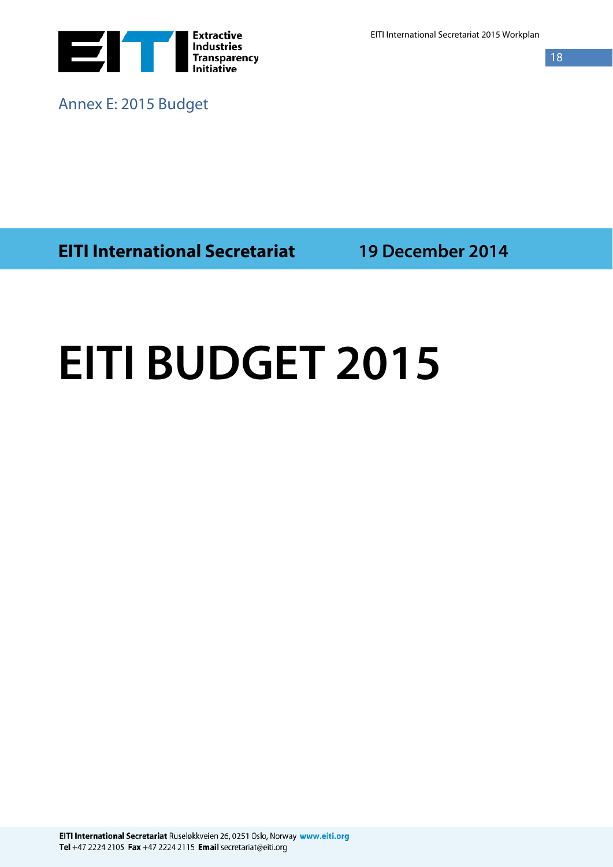

Annex E: 2015 Budget

EITI International Secretariat 2015 Workplan

 $\overline{18}$ 

**EITI International Secretariat 19 December 2014**

# **EITI BUDGET 2015**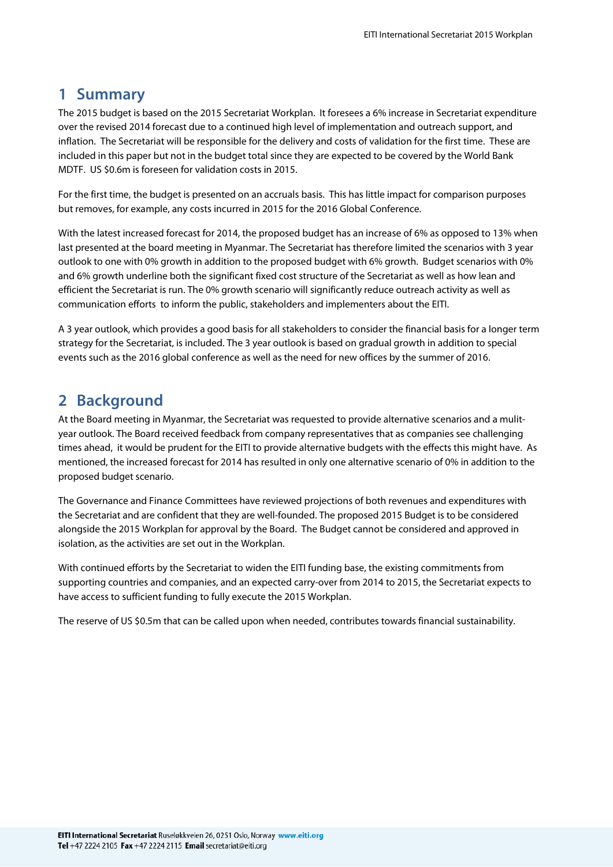## **1 Summary**

The 2015 budget is based on the 2015 Secretariat Workplan. It foresees a 6% increase in Secretariat expenditure over the revised 2014 forecast due to a continued high level of implementation and outreach support, and inflation. The Secretariat will be responsible for the delivery and costs of validation for the first time. These are included in this paper but not in the budget total since they are expected to be covered by the World Bank MDTF. US \$0.6m is foreseen for validation costs in 2015.

For the first time, the budget is presented on an accruals basis. This has little impact for comparison purposes but removes, for example, any costs incurred in 2015 for the 2016 Global Conference.

With the latest increased forecast for 2014, the proposed budget has an increase of 6% as opposed to 13% when last presented at the board meeting in Myanmar. The Secretariat has therefore limited the scenarios with 3 year outlook to one with 0% growth in addition to the proposed budget with 6% growth. Budget scenarios with 0% and 6% growth underline both the significant fixed cost structure of the Secretariat as well as how lean and efficient the Secretariat is run. The 0% growth scenario will significantly reduce outreach activity as well as communication efforts to inform the public, stakeholders and implementers about the EITI.

A 3 year outlook, which provides a good basis for all stakeholders to consider the financial basis for a longer term strategy for the Secretariat, is included. The 3 year outlook is based on gradual growth in addition to special events such as the 2016 global conference as well as the need for new offices by the summer of 2016.

## **2 Background**

At the Board meeting in Myanmar, the Secretariat was requested to provide alternative scenarios and a mulityear outlook. The Board received feedback from company representatives that as companies see challenging times ahead, it would be prudent for the EITI to provide alternative budgets with the effects this might have. As mentioned, the increased forecast for 2014 has resulted in only one alternative scenario of 0% in addition to the proposed budget scenario.

The Governance and Finance Committees have reviewed projections of both revenues and expenditures with the Secretariat and are confident that they are well-founded. The proposed 2015 Budget is to be considered alongside the 2015 Workplan for approval by the Board. The Budget cannot be considered and approved in isolation, as the activities are set out in the Workplan.

With continued efforts by the Secretariat to widen the EITI funding base, the existing commitments from supporting countries and companies, and an expected carry-over from 2014 to 2015, the Secretariat expects to have access to sufficient funding to fully execute the 2015 Workplan.

The reserve of US \$0.5m that can be called upon when needed, contributes towards financial sustainability.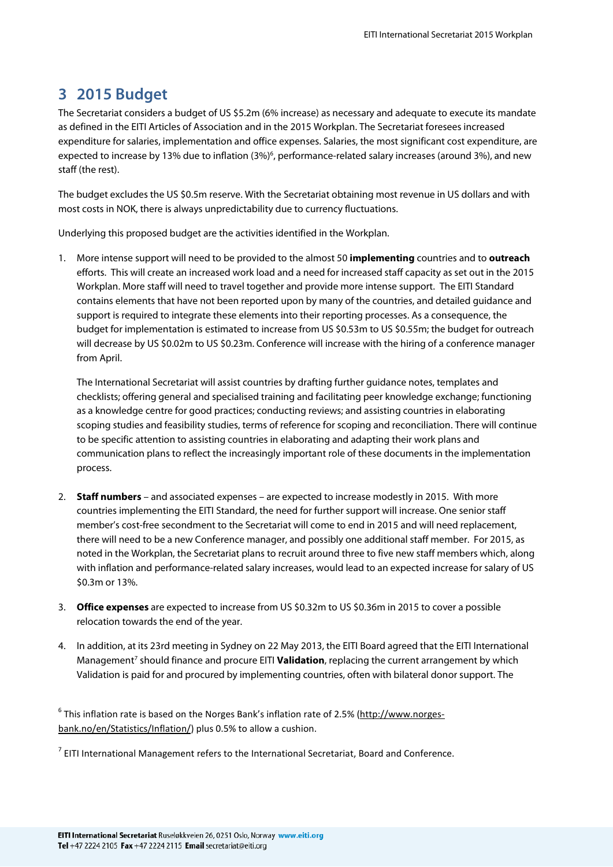## **3 2015 Budget**

The Secretariat considers a budget of US \$5.2m (6% increase) as necessary and adequate to execute its mandate as defined in the EITI Articles of Association and in the 2015 Workplan. The Secretariat foresees increased expenditure for salaries, implementation and office expenses. Salaries, the most significant cost expenditure, are expected to increase by 13% due to inflation (3%)<sup>6</sup>, performance-related salary increases (around 3%), and new staff (the rest).

The budget excludes the US \$0.5m reserve. With the Secretariat obtaining most revenue in US dollars and with most costs in NOK, there is always unpredictability due to currency fluctuations.

Underlying this proposed budget are the activities identified in the Workplan.

1. More intense support will need to be provided to the almost 50 **implementing** countries and to **outreach** efforts. This will create an increased work load and a need for increased staff capacity as set out in the 2015 Workplan. More staff will need to travel together and provide more intense support. The EITI Standard contains elements that have not been reported upon by many of the countries, and detailed guidance and support is required to integrate these elements into their reporting processes. As a consequence, the budget for implementation is estimated to increase from US \$0.53m to US \$0.55m; the budget for outreach will decrease by US \$0.02m to US \$0.23m. Conference will increase with the hiring of a conference manager from April.

The International Secretariat will assist countries by drafting further guidance notes, templates and checklists; offering general and specialised training and facilitating peer knowledge exchange; functioning as a knowledge centre for good practices; conducting reviews; and assisting countries in elaborating scoping studies and feasibility studies, terms of reference for scoping and reconciliation. There will continue to be specific attention to assisting countries in elaborating and adapting their work plans and communication plans to reflect the increasingly important role of these documents in the implementation process.

- 2. **Staff numbers** and associated expenses are expected to increase modestly in 2015. With more countries implementing the EITI Standard, the need for further support will increase. One senior staff member's cost-free secondment to the Secretariat will come to end in 2015 and will need replacement, there will need to be a new Conference manager, and possibly one additional staff member. For 2015, as noted in the Workplan, the Secretariat plans to recruit around three to five new staff members which, along with inflation and performance-related salary increases, would lead to an expected increase for salary of US \$0.3m or 13%.
- 3. **Office expenses** are expected to increase from US \$0.32m to US \$0.36m in 2015 to cover a possible relocation towards the end of the year.
- 4. In addition, at its 23rd meeting in Sydney on 22 May 2013, the EITI Board agreed that the EITI International Management<sup>7</sup> should finance and procure EITI **Validation**, replacing the current arrangement by which Validation is paid for and procured by implementing countries, often with bilateral donor support. The

 $^6$  This inflation rate is based on the Norges Bank's inflation rate of 2.5% [\(http://www.norges](http://www.norges-bank.no/en/Statistics/Inflation/)[bank.no/en/Statistics/Inflation/\)](http://www.norges-bank.no/en/Statistics/Inflation/) plus 0.5% to allow a cushion.

 $<sup>7</sup>$  EITI International Management refers to the International Secretariat, Board and Conference.</sup>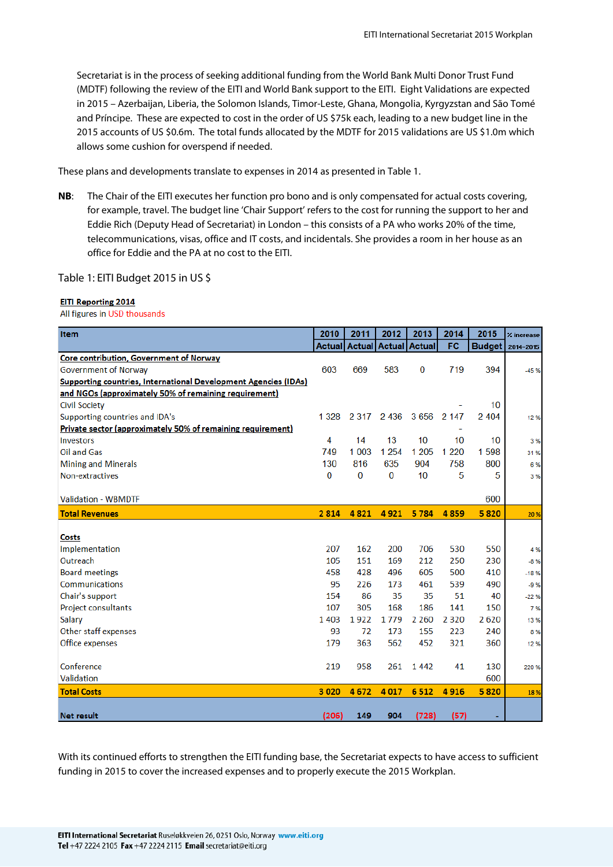Secretariat is in the process of seeking additional funding from the World Bank Multi Donor Trust Fund (MDTF) following the review of the EITI and World Bank support to the EITI. Eight Validations are expected in 2015 – Azerbaijan, Liberia, the Solomon Islands, Timor-Leste, Ghana, Mongolia, Kyrgyzstan and São Tomé and Príncipe. These are expected to cost in the order of US \$75k each, leading to a new budget line in the 2015 accounts of US \$0.6m. The total funds allocated by the MDTF for 2015 validations are US \$1.0m which allows some cushion for overspend if needed.

These plans and developments translate to expenses in 2014 as presented in Table 1.

**NB**: The Chair of the EITI executes her function pro bono and is only compensated for actual costs covering, for example, travel. The budget line 'Chair Support' refers to the cost for running the support to her and Eddie Rich (Deputy Head of Secretariat) in London – this consists of a PA who works 20% of the time, telecommunications, visas, office and IT costs, and incidentals. She provides a room in her house as an office for Eddie and the PA at no cost to the EITI.

Table 1: EITI Budget 2015 in US \$

#### **EITI Reporting 2014**

All figures in USD thousands

| <b>Item</b>                                                            | 2010          | 2011    | 2012                        | 2013     | 2014    | 2015             | % increase |
|------------------------------------------------------------------------|---------------|---------|-----------------------------|----------|---------|------------------|------------|
|                                                                        | <b>Actual</b> |         | <b>Actual Actual Actual</b> |          | FC      | <b>Budget</b>    | 2014-2015  |
| Core contribution, Government of Norway                                |               |         |                             |          |         |                  |            |
| <b>Government of Norway</b>                                            | 603           | 669     | 583                         | $\bf{0}$ | 719     | 394              | $-45%$     |
| <b>Supporting countries, International Development Agencies (IDAs)</b> |               |         |                             |          |         |                  |            |
| and NGOs (approximately 50% of remaining requirement)                  |               |         |                             |          |         |                  |            |
| <b>Civil Society</b>                                                   |               |         |                             |          |         | 10 <sup>10</sup> |            |
| Supporting countries and IDA's                                         | 1 3 2 8       | 2 3 1 7 | 2 4 3 6                     | 3656     | 2 1 4 7 | 2 4 0 4          | 12%        |
| Private sector (approximately 50% of remaining requirement)            |               |         |                             |          |         |                  |            |
| <b>Investors</b>                                                       | 4             | 14      | 13                          | 10       | 10      | 10               | 3%         |
| Oil and Gas                                                            | 749           | 1 0 0 3 | 1 2 5 4                     | 1 2 0 5  | 1 2 2 0 | 1598             | 31%        |
| <b>Mining and Minerals</b>                                             | 130           | 816     | 635                         | 904      | 758     | 800              | 6%         |
| Non-extractives                                                        | $\Omega$      | 0       | $\bf{0}$                    | 10       | 5       | 5                | 3%         |
|                                                                        |               |         |                             |          |         |                  |            |
| <b>Validation - WBMDTF</b>                                             |               |         |                             |          |         | 600              |            |
| <b>Total Revenues</b>                                                  | 2814          | 4821    | 4921                        | 5784     | 4859    | 5820             | 20 %       |
|                                                                        |               |         |                             |          |         |                  |            |
| Costs                                                                  |               |         |                             |          |         |                  |            |
| Implementation                                                         | 207           | 162     | 200                         | 706      | 530     | 550              | 4 %        |
| Outreach                                                               | 105           | 151     | 169                         | 212      | 250     | 230              | $-8%$      |
| <b>Board meetings</b>                                                  | 458           | 428     | 496                         | 605      | 500     | 410              | $-18%$     |
| Communications                                                         | 95            | 226     | 173                         | 461      | 539     | 490              | $-9%$      |
| Chair's support                                                        | 154           | 86      | 35                          | 35       | 51      | 40               | $-22%$     |
| Project consultants                                                    | 107           | 305     | 168                         | 186      | 141     | 150              | 7%         |
| Salary                                                                 | 1 4 0 3       | 1922    | 1779                        | 2 2 6 0  | 2 3 2 0 | 2620             | 13%        |
| Other staff expenses                                                   | 93            | 72      | 173                         | 155      | 223     | 240              | 8%         |
| Office expenses                                                        | 179           | 363     | 562                         | 452      | 321     | 360              | 12%        |
|                                                                        |               |         |                             |          |         |                  |            |
| Conference                                                             | 219           | 958     | 261                         | 1442     | 41      | 130              | 220%       |
| Validation                                                             |               |         |                             |          |         | 600              |            |
| <b>Total Costs</b>                                                     | 3 0 2 0       | 4672    | 4 0 1 7                     | 6512     | 4916    | 5820             | 18%        |
|                                                                        |               |         |                             |          |         |                  |            |
| <b>Net result</b>                                                      | (206)         | 149     | 904                         | (728)    | (57)    |                  |            |

With its continued efforts to strengthen the EITI funding base, the Secretariat expects to have access to sufficient funding in 2015 to cover the increased expenses and to properly execute the 2015 Workplan.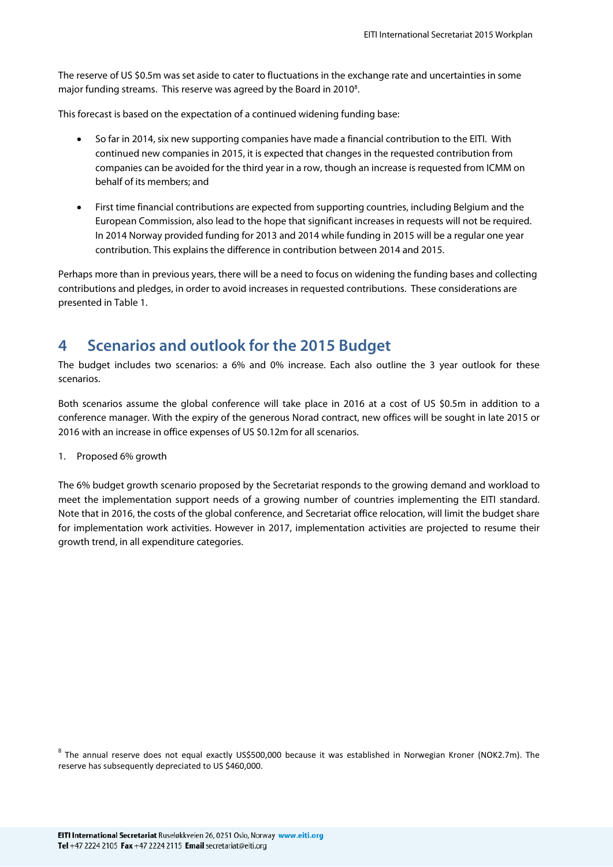The reserve of US \$0.5m was set aside to cater to fluctuations in the exchange rate and uncertainties in some major funding streams. This reserve was agreed by the Board in 2010<sup>8</sup>.

This forecast is based on the expectation of a continued widening funding base:

- So far in 2014, six new supporting companies have made a financial contribution to the EITI. With continued new companies in 2015, it is expected that changes in the requested contribution from companies can be avoided for the third year in a row, though an increase is requested from ICMM on behalf of its members; and
- First time financial contributions are expected from supporting countries, including Belgium and the European Commission, also lead to the hope that significant increases in requests will not be required. In 2014 Norway provided funding for 2013 and 2014 while funding in 2015 will be a regular one year contribution. This explains the difference in contribution between 2014 and 2015.

Perhaps more than in previous years, there will be a need to focus on widening the funding bases and collecting contributions and pledges, in order to avoid increases in requested contributions. These considerations are presented in Table 1.

## **4 Scenarios and outlook for the 2015 Budget**

The budget includes two scenarios: a 6% and 0% increase. Each also outline the 3 year outlook for these scenarios.

Both scenarios assume the global conference will take place in 2016 at a cost of US \$0.5m in addition to a conference manager. With the expiry of the generous Norad contract, new offices will be sought in late 2015 or 2016 with an increase in office expenses of US \$0.12m for all scenarios.

1. Proposed 6% growth

The 6% budget growth scenario proposed by the Secretariat responds to the growing demand and workload to meet the implementation support needs of a growing number of countries implementing the EITI standard. Note that in 2016, the costs of the global conference, and Secretariat office relocation, will limit the budget share for implementation work activities. However in 2017, implementation activities are projected to resume their growth trend, in all expenditure categories.

<sup>8</sup> The annual reserve does not equal exactly US\$500,000 because it was established in Norwegian Kroner (NOK2.7m). The reserve has subsequently depreciated to US \$460,000.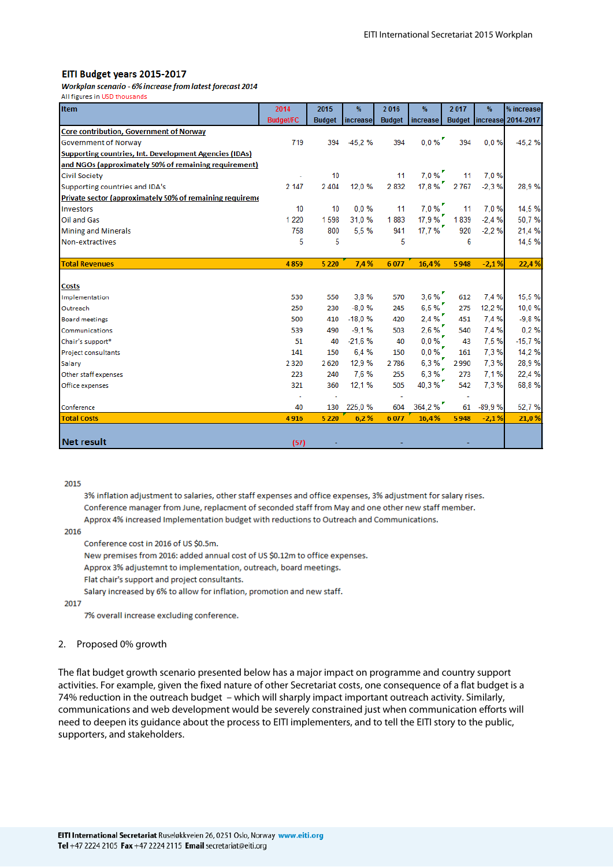#### EITI Budget years 2015-2017

Workplan scenario - 6% increase from latest forecast 2014 All figures in USD thousands

| <b>Item</b>                                                   | 2014                  | 2015          | %        | 2016          | %                      | 2017    | $\%$     | % increase                  |
|---------------------------------------------------------------|-----------------------|---------------|----------|---------------|------------------------|---------|----------|-----------------------------|
|                                                               | <b>Budget/FC</b>      | <b>Budget</b> | increase | <b>Budget</b> | increase               |         |          | Budget   increase 2014-2017 |
| Core contribution, Government of Norway                       |                       |               |          |               |                        |         |          |                             |
| Government of Norway                                          | 719                   | 394           | $-45,2%$ | 394           | $0,0\%$                | 394     | 0.0%     | $-45,2%$                    |
| <b>Supporting countries, Int. Development Agencies (IDAs)</b> |                       |               |          |               |                        |         |          |                             |
| and NGOs (approximately 50% of remaining requirement)         |                       |               |          |               |                        |         |          |                             |
| <b>Civil Society</b>                                          |                       | 10            |          | 11            | $7,0$ %                | 11      | 7.0%     |                             |
| Supporting countries and IDA's                                | 2 147                 | 2 4 0 4       | 12.0%    | 2 8 3 2       | 17,8%                  | 2 7 6 7 | $-2,3%$  | 28,9%                       |
| Private sector (approximately 50% of remaining requireme      |                       |               |          |               |                        |         |          |                             |
| Investors                                                     | 10                    | 10            | $0.0 \%$ | 11            | $7,0$ %                | 11      | 7.0%     | 14,5%                       |
| Oil and Gas                                                   | 1 2 2 0               | 1598          | 31,0%    | 1883          | 17.9 %                 | 1839    | $-2.4%$  | 50,7%                       |
| <b>Mining and Minerals</b>                                    | 758                   | 800           | 5.5%     | 941           | 17,7%                  | 920     | $-2.2%$  | 21,4 %                      |
| Non-extractives                                               | 5                     | 5             |          | 5             |                        | 6       |          | 14,5 %                      |
|                                                               |                       |               |          |               |                        |         |          |                             |
| <b>Total Revenues</b>                                         | 4859                  | 5 2 2 0       | 7,4%     | 6077          | 16,4%                  | 5948    | $-2,1%$  | 22,4%                       |
|                                                               |                       |               |          |               |                        |         |          |                             |
| <b>Costs</b>                                                  |                       |               |          |               |                        |         |          |                             |
| Implementation                                                | 530                   | 550           | 3.8%     | 570           | $3,6$ % $^\prime$      | 612     | 7.4 %    | 15,5%                       |
| Outreach                                                      | 250                   | 230           | $-8.0%$  | 245           | 6,5%                   | 275     | 12,2%    | 10,0%                       |
| <b>Board meetings</b>                                         | 500                   | 410           | $-18.0%$ | 420           | $2,4$ % $\overline{ }$ | 451     | 7,4 %    | $-9,8%$                     |
| Communications                                                | 539                   | 490           | $-9,1%$  | 503           | $2,6$ %                | 540     | 7.4 %    | 0.2%                        |
| Chair's support*                                              | 51                    | 40            | $-21.6%$ | 40            | $0,0\%$                | 43      | 7.5%     | $-15,7%$                    |
| <b>Project consultants</b>                                    | 141                   | 150           | 6.4%     | 150           | $0,0~\%$ $^{\prime}$   | 161     | 7,3%     | 14,2%                       |
| Salary                                                        | 2 3 2 0               | 2620          | 12,9%    | 2786          | 6,3%                   | 2990    | 7.3%     | 28,9%                       |
| Other staff expenses                                          | 223                   | 240           | 7.6%     | 255           | 6,3%                   | 273     | 7,1%     | 22,4 %                      |
| Office expenses                                               | 321                   | 360           | 12,1%    | 505           | 40,3%                  | 542     | 7.3%     | 68,8%                       |
|                                                               | $\tilde{\phantom{a}}$ |               |          |               |                        |         |          |                             |
| Conference                                                    | 40                    | 130           | 225.0%   | 604           | 364,2%                 | 61      | $-89.9%$ | 52,7%                       |
| <b>Total Costs</b>                                            | 4916                  | 5 2 2 0       | 6,2%     | 6077          | 16,4%                  | 5948    | $-2,1%$  | 21,0%                       |
|                                                               |                       |               |          |               |                        |         |          |                             |
| <b>Net result</b>                                             | (57)                  |               |          |               |                        |         |          |                             |

#### 2015

3% inflation adjustment to salaries, other staff expenses and office expenses, 3% adjustment for salary rises. Conference manager from June, replacment of seconded staff from May and one other new staff member. Approx 4% increased Implementation budget with reductions to Outreach and Communications.

2016

Conference cost in 2016 of US \$0.5m.

New premises from 2016: added annual cost of US \$0.12m to office expenses.

Approx 3% adjustemnt to implementation, outreach, board meetings.

Flat chair's support and project consultants.

Salary increased by 6% to allow for inflation, promotion and new staff.

#### 2017

7% overall increase excluding conference.

#### 2. Proposed 0% growth

The flat budget growth scenario presented below has a major impact on programme and country support activities. For example, given the fixed nature of other Secretariat costs, one consequence of a flat budget is a 74% reduction in the outreach budget – which will sharply impact important outreach activity. Similarly, communications and web development would be severely constrained just when communication efforts will need to deepen its guidance about the process to EITI implementers, and to tell the EITI story to the public, supporters, and stakeholders.